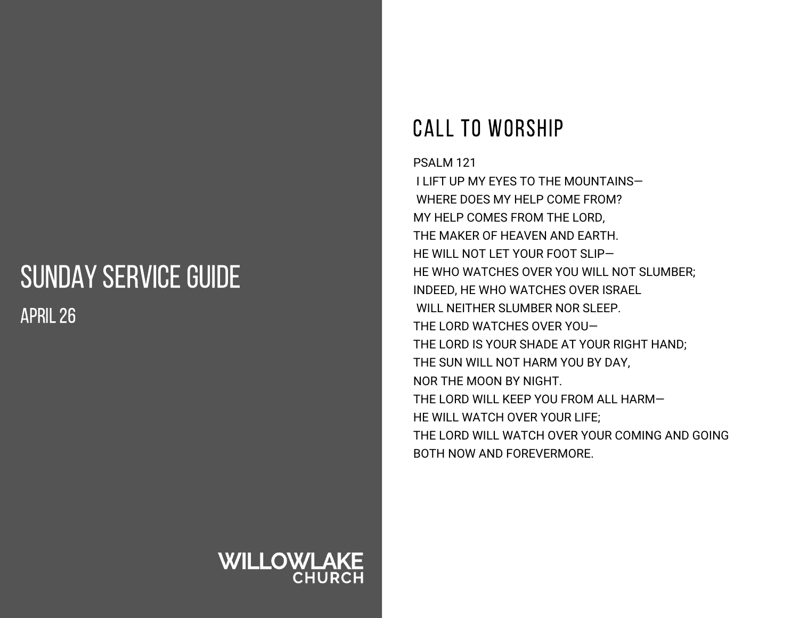## SUNDAY SERVICE GUIDE

APRIL26

## CALL TO WORSHIP

PSALM 121

I LIFT UP MY EYES TO THE MOUNTAINS— WHERE DOES MY HELP COME FROM? MY HELP COMES FROM THE LORD, THE MAKER OF HEAVEN AND EARTH. HE WILL NOT LET YOUR FOOT SLIP— HE WHO WATCHES OVER YOU WILL NOT SLUMBER; INDEED, HE WHO WATCHES OVER ISRAEL WILL NEITHER SLUMBER NOR SLEEP. THE LORD WATCHES OVER YOU— THE LORD IS YOUR SHADE AT YOUR RIGHT HAND; THE SUN WILL NOT HARM YOU BY DAY, NOR THE MOON BY NIGHT. THE LORD WILL KEEP YOU FROM ALL HARM— HE WILL WATCH OVER YOUR LIFE; THE LORD WILL WATCH OVER YOUR COMING AND GOING BOTH NOW AND FOREVERMORE.

## **WILLOWLAKE**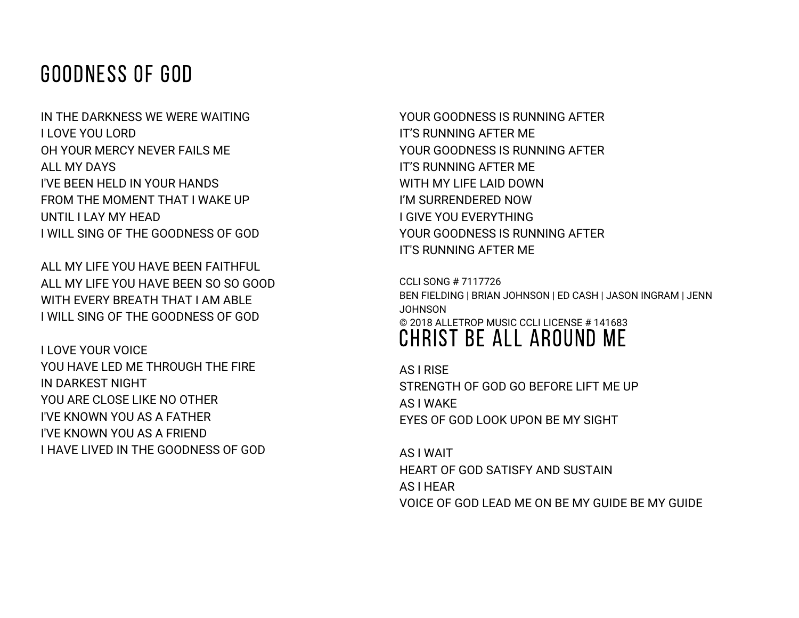## GOODNESS OF GOD

IN THE DARKNESS WE WERE WAITING I LOVE YOU LORD OH YOUR MERCY NEVER FAILS ME ALL MY DAYS I'VE BEEN HELD IN YOUR HANDS FROM THE MOMENT THAT I WAKE UP UNTIL I LAY MY HEAD I WILL SING OF THE GOODNESS OF GOD

ALL MY LIFE YOU HAVE BEEN FAITHFUL ALL MY LIFE YOU HAVE BEEN SO SO GOOD WITH EVERY BREATH THAT I AM ABLE I WILL SING OF THE GOODNESS OF GOD

I LOVE YOUR VOICE YOU HAVE LED ME THROUGH THE FIRE IN DARKEST NIGHT YOU ARE CLOSE LIKE NO OTHER I'VE KNOWN YOU AS A FATHER I'VE KNOWN YOU AS A FRIEND I HAVE LIVED IN THE GOODNESS OF GOD

YOUR GOODNESS IS RUNNING AFTER IT'S RUNNING AFTER ME YOUR GOODNESS IS RUNNING AFTER IT'S RUNNING AFTER ME WITH MY LIFE LAID DOWN I'M SURRENDERED NOW I GIVE YOU EVERYTHING YOUR GOODNESS IS RUNNING AFTER IT'S RUNNING AFTER ME

CCLI SONG # 7117726 BEN FIELDING | BRIAN JOHNSON | ED CASH | JASON INGRAM | JENN JOHNSON © 2018 ALLETROP MUSIC CCLI LICENSE # 141683 CHRIST BE ALL AROUND ME

AS I RISE STRENGTH OF GOD GO BEFORE LIFT ME UP AS I WAKE EYES OF GOD LOOK UPON BE MY SIGHT

AS I WAIT HEART OF GOD SATISFY AND SUSTAIN AS I HEAR VOICE OF GOD LEAD ME ON BE MY GUIDE BE MY GUIDE